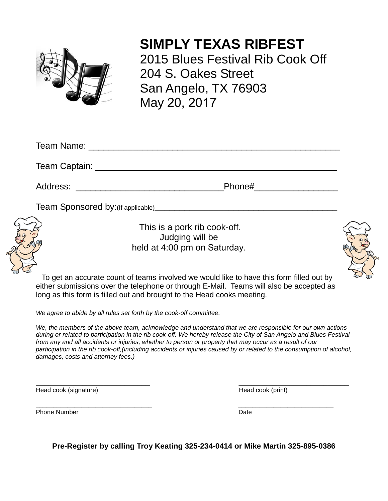

## **SIMPLY TEXAS RIBFEST**

2015 Blues Festival Rib Cook Off 204 S. Oakes Street San Angelo, TX 76903 May 20, 2017

|                                                                | Phone# ________________ |
|----------------------------------------------------------------|-------------------------|
| Team Sponsored by: (If applicable)<br><u>Frame Constanting</u> |                         |

## This is a pork rib cook-off. Judging will be held at 4:00 pm on Saturday.



To get an accurate count of teams involved we would like to have this form filled out by either submissions over the telephone or through E-Mail. Teams will also be accepted as long as this form is filled out and brought to the Head cooks meeting.

*We agree to abide by all rules set forth by the cook-off committee.*

*We, the members of the above team, acknowledge and understand that we are responsible for our own actions during or related to participation in the rib cook-off. We hereby release the City of San Angelo and Blues Festival from any and all accidents or injuries, whether to person or property that may occur as a result of our participation in the rib cook-off,(including accidents or injuries caused by or related to the consumption of alcohol, damages, costs and attorney fees.)*

\_\_\_\_\_\_\_\_\_\_\_\_\_\_\_\_\_\_\_\_\_\_\_\_\_\_\_ \_\_\_\_\_\_\_\_\_\_\_\_\_\_\_\_\_\_\_\_\_\_\_\_\_\_ Head cook (signature) **Head cook** (print)

\_\_\_\_\_\_\_\_\_\_\_\_\_\_\_\_\_\_\_\_\_\_\_\_\_\_\_\_\_\_\_\_\_ \_\_\_\_\_\_\_\_\_\_\_\_\_\_\_\_\_\_\_\_\_\_\_\_\_\_\_

Phone Number **Date** 

**Pre-Register by calling Troy Keating 325-234-0414 or Mike Martin 325-895-0386**